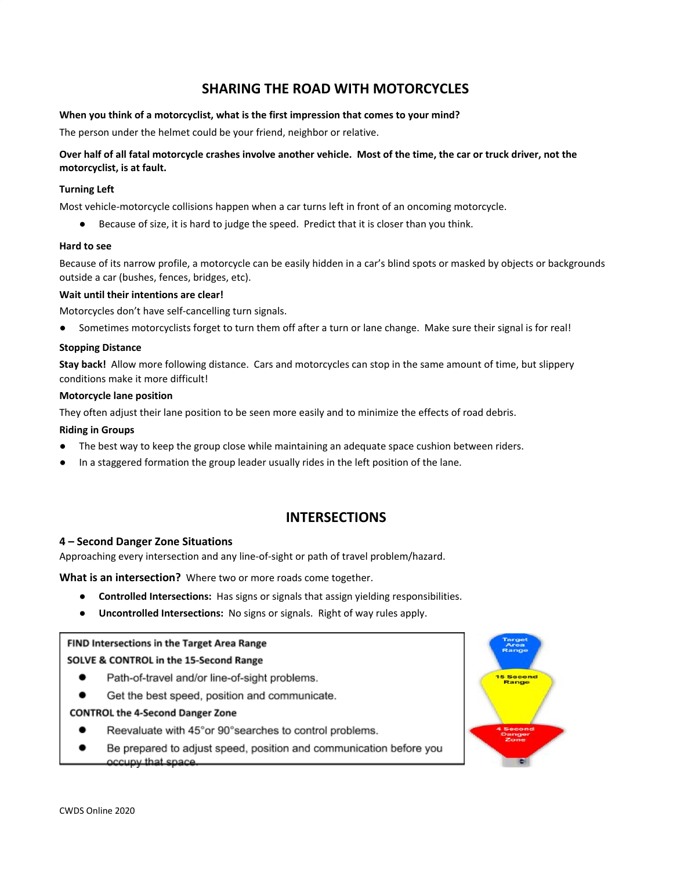# **SHARING THE ROAD WITH MOTORCYCLES**

## **When you think of a motorcyclist, what is the first impression that comes to your mind?**

The person under the helmet could be your friend, neighbor or relative.

# Over half of all fatal motorcycle crashes involve another vehicle. Most of the time, the car or truck driver, not the **motorcyclist, is at fault.**

#### **Turning Left**

Most vehicle-motorcycle collisions happen when a car turns left in front of an oncoming motorcycle.

Because of size, it is hard to judge the speed. Predict that it is closer than you think.

#### **Hard to see**

Because of its narrow profile, a motorcycle can be easily hidden in a car's blind spots or masked by objects or backgrounds outside a car (bushes, fences, bridges, etc).

#### **Wait until their intentions are clear!**

Motorcycles don't have self-cancelling turn signals.

Sometimes motorcyclists forget to turn them off after a turn or lane change. Make sure their signal is for real!

#### **Stopping Distance**

**Stay back!** Allow more following distance. Cars and motorcycles can stop in the same amount of time, but slippery conditions make it more difficult!

#### **Motorcycle lane position**

They often adjust their lane position to be seen more easily and to minimize the effects of road debris.

#### **Riding in Groups**

- The best way to keep the group close while maintaining an adequate space cushion between riders.
- In a staggered formation the group leader usually rides in the left position of the lane.

# **INTERSECTIONS**

#### **4 – Second Danger Zone Situations**

Approaching every intersection and any line-of-sight or path of travel problem/hazard.

**What is an intersection?** Where two or more roads come together.

- **Controlled Intersections:** Has signs or signals that assign yielding responsibilities.
- **● Uncontrolled Intersections:** No signs or signals. Right of way rules apply.

# FIND Intersections in the Target Area Range

#### SOLVE & CONTROL in the 15-Second Range

- Path-of-travel and/or line-of-sight problems. ٠
- Get the best speed, position and communicate. ٠

#### **CONTROL the 4-Second Danger Zone**

- $\bullet$ Reevaluate with 45° or 90° searches to control problems.
- ٠ Be prepared to adjust speed, position and communication before you occupy that space.

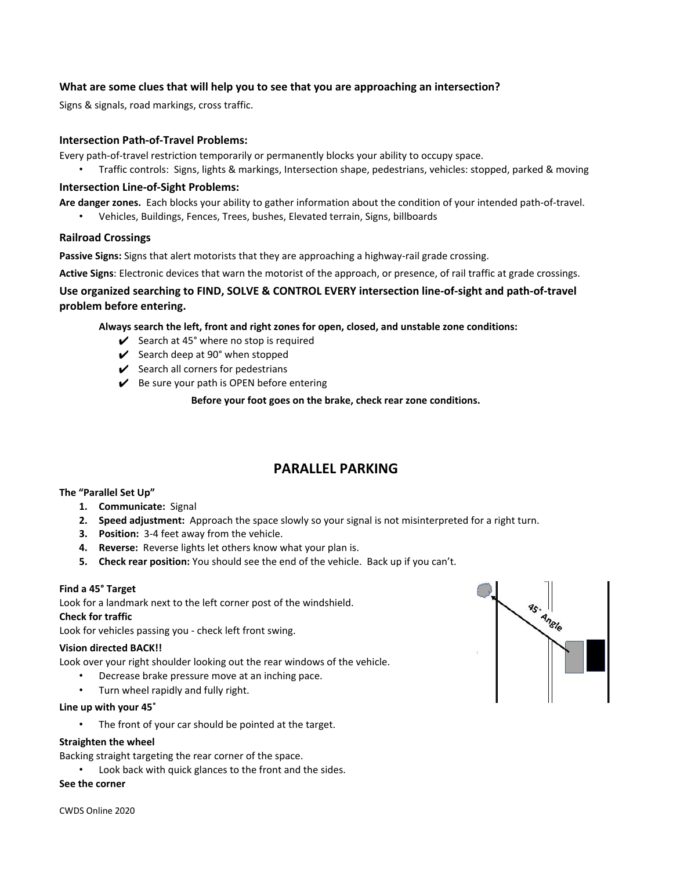# **What are some clues that will help you to see that you are approaching an intersection?**

Signs & signals, road markings, cross traffic.

# **Intersection Path-of-Travel Problems:**

Every path-of-travel restriction temporarily or permanently blocks your ability to occupy space.

• Traffic controls: Signs, lights & markings, Intersection shape, pedestrians, vehicles: stopped, parked & moving

## **Intersection Line-of-Sight Problems:**

**Are danger zones.** Each blocks your ability to gather information about the condition of your intended path-of-travel.

• Vehicles, Buildings, Fences, Trees, bushes, Elevated terrain, Signs, billboards

## **Railroad Crossings**

**Passive Signs:** Signs that alert motorists that they are approaching a highway-rail grade crossing.

**Active Signs**: Electronic devices that warn the motorist of the approach, or presence, of rail traffic at grade crossings.

# **Use organized searching to FIND, SOLVE & CONTROL EVERY intersection line-of-sight and path-of-travel problem before entering.**

**Always search the left, front and right zones for open, closed, and unstable zone conditions:**

- $\checkmark$  Search at 45° where no stop is required
- $\swarrow$  Search deep at 90° when stopped
- $\checkmark$  Search all corners for pedestrians
- $\mathcal V$  Be sure your path is OPEN before entering

**Before your foot goes on the brake, check rear zone conditions.**

# **PARALLEL PARKING**

# **The "Parallel Set Up"**

- **1. Communicate:** Signal
- **2. Speed adjustment:** Approach the space slowly so your signal is not misinterpreted for a right turn.
- **3. Position:** 3-4 feet away from the vehicle.
- **4. Reverse:** Reverse lights let others know what your plan is.
- **5. Check rear position:** You should see the end of the vehicle. Back up if you can't.

#### **Find a 45° Target**

Look for a landmark next to the left corner post of the windshield.

#### **Check for traffic**

Look for vehicles passing you - check left front swing.

#### **Vision directed BACK!!**

Look over your right shoulder looking out the rear windows of the vehicle.

- Decrease brake pressure move at an inching pace.
- Turn wheel rapidly and fully right.

#### **Line up with your 45˚**

The front of your car should be pointed at the target.

#### **Straighten the wheel**

Backing straight targeting the rear corner of the space.

Look back with quick glances to the front and the sides.

#### **See the corner**

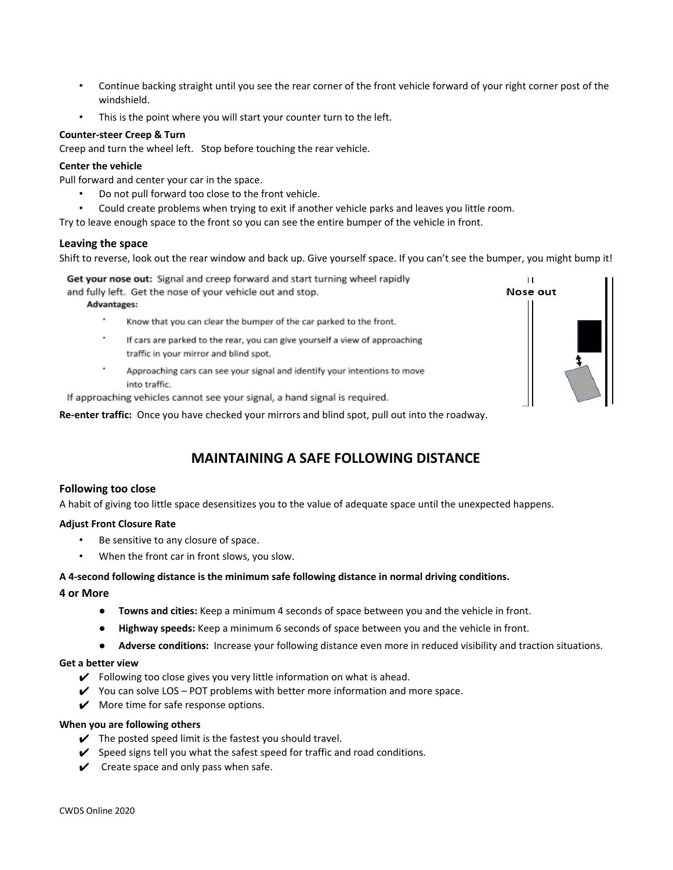- Continue backing straight until you see the rear corner of the front vehicle forward of your right corner post of the windshield.
- This is the point where you will start your counter turn to the left.

## **Counter-steer Creep & Turn**

Creep and turn the wheel left. Stop before touching the rear vehicle.

## **Center the vehicle**

Pull forward and center your car in the space.

- Do not pull forward too close to the front vehicle.
- Could create problems when trying to exit if another vehicle parks and leaves you little room.

Try to leave enough space to the front so you can see the entire bumper of the vehicle in front.

## **Leaving the space**

Shift to reverse, look out the rear window and back up. Give yourself space. If you can't see the bumper, you might bump it!

Get your nose out: Signal and creep forward and start turning wheel rapidly

and fully left. Get the nose of your vehicle out and stop.

#### Advantages:

- Know that you can clear the bumper of the car parked to the front.
- If cars are parked to the rear, you can give yourself a view of approaching traffic in your mirror and blind spot.
- Approaching cars can see your signal and identify your intentions to move into traffic.

If approaching vehicles cannot see your signal, a hand signal is required.

**Re-enter traffic:** Once you have checked your mirrors and blind spot, pull out into the roadway.

# **MAINTAINING A SAFE FOLLOWING DISTANCE**

# **Following too close**

A habit of giving too little space desensitizes you to the value of adequate space until the unexpected happens.

# **Adjust Front Closure Rate**

- Be sensitive to any closure of space.
- When the front car in front slows, you slow.

#### **A 4-second following distance is the minimum safe following distance in normal driving conditions.**

# **4 or More**

- **● Towns and cities:** Keep a minimum 4 seconds of space between you and the vehicle in front.
- **● Highway speeds:** Keep a minimum 6 seconds of space between you and the vehicle in front.
- **Adverse conditions:** Increase your following distance even more in reduced visibility and traction situations.

#### **Get a better view**

- $\checkmark$  Following too close gives you very little information on what is ahead.
- $\checkmark$  You can solve LOS POT problems with better more information and more space.
- $\mathcal V$  More time for safe response options.

#### **When you are following others**

- $\blacktriangleright$  The posted speed limit is the fastest you should travel.
- $\checkmark$  Speed signs tell you what the safest speed for traffic and road conditions.
- $\checkmark$  Create space and only pass when safe.

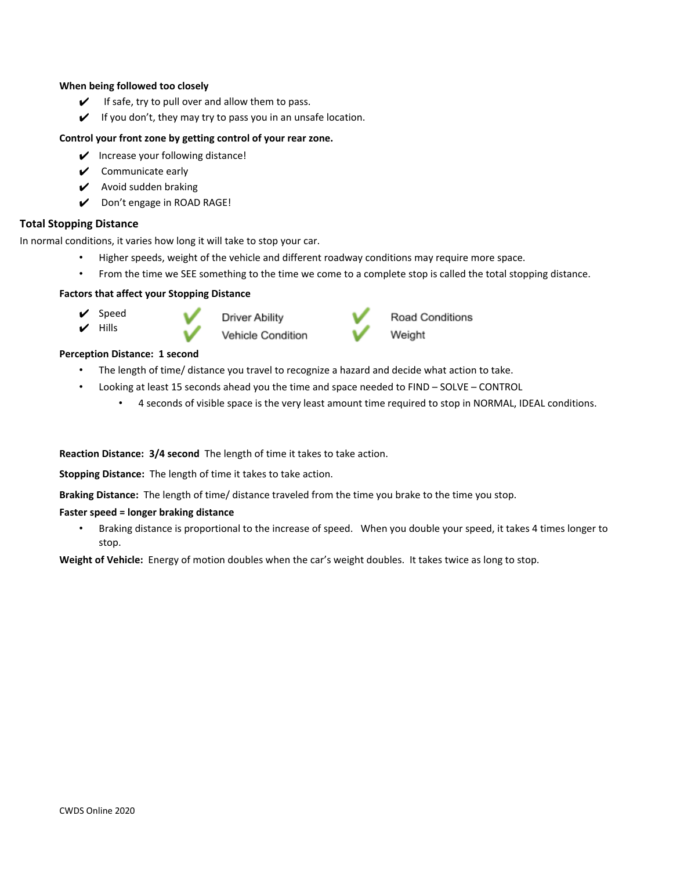#### **When being followed too closely**

- $\checkmark$  If safe, try to pull over and allow them to pass.
- $\checkmark$  If you don't, they may try to pass you in an unsafe location.

## **Control your front zone by getting control of your rear zone.**

- $\mathcal V$  Increase your following distance!
- $\mathcal V$  Communicate early
- ✔ Avoid sudden braking
- ✔ Don't engage in ROAD RAGE!

# **Total Stopping Distance**

In normal conditions, it varies how long it will take to stop your car.

- Higher speeds, weight of the vehicle and different roadway conditions may require more space.
- From the time we SEE something to the time we come to a complete stop is called the total stopping distance.

# **Factors that affect your Stopping Distance**

- ✔ Speed ✔ Hills
- 





Road Conditions Weight

#### **Perception Distance: 1 second**

- The length of time/ distance you travel to recognize a hazard and decide what action to take.
- Looking at least 15 seconds ahead you the time and space needed to FIND SOLVE CONTROL
	- 4 seconds of visible space is the very least amount time required to stop in NORMAL, IDEAL conditions.

**Reaction Distance: 3/4 second** The length of time it takes to take action.

**Stopping Distance:** The length of time it takes to take action.

**Braking Distance:** The length of time/ distance traveled from the time you brake to the time you stop.

#### **Faster speed = longer braking distance**

• Braking distance is proportional to the increase of speed. When you double your speed, it takes 4 times longer to stop.

**Weight of Vehicle:** Energy of motion doubles when the car's weight doubles. It takes twice as long to stop.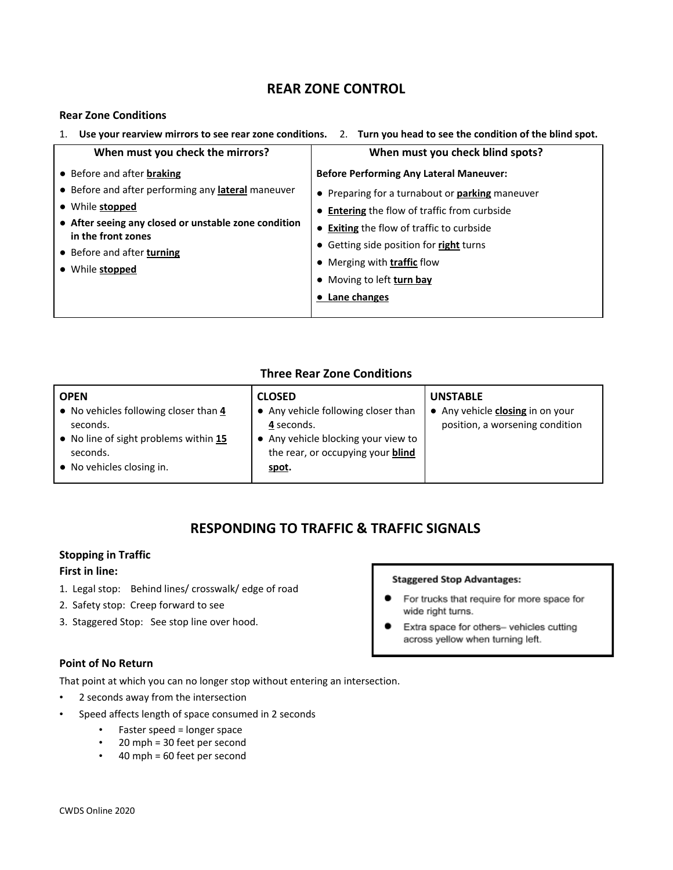# **REAR ZONE CONTROL**

# **Rear Zone Conditions**

| Use your rearview mirrors to see rear zone conditions. 2. Turn you head to see the condition of the blind spot.<br>1. |                                                        |  |
|-----------------------------------------------------------------------------------------------------------------------|--------------------------------------------------------|--|
| When must you check the mirrors?                                                                                      | When must you check blind spots?                       |  |
| • Before and after <b>braking</b>                                                                                     | <b>Before Performing Any Lateral Maneuver:</b>         |  |
| • Before and after performing any <b>lateral</b> maneuver                                                             | • Preparing for a turnabout or <b>parking</b> maneuver |  |
| • While stopped                                                                                                       | • Entering the flow of traffic from curbside           |  |
| • After seeing any closed or unstable zone condition<br>in the front zones                                            | • Exiting the flow of traffic to curbside              |  |
| • Before and after turning<br>• While stopped                                                                         | • Getting side position for right turns                |  |
|                                                                                                                       | • Merging with <b>traffic</b> flow                     |  |
|                                                                                                                       | • Moving to left turn bay                              |  |
|                                                                                                                       | • Lane changes                                         |  |
|                                                                                                                       |                                                        |  |

# **Three Rear Zone Conditions**

| <b>OPEN</b>                                                                                                                         | <b>CLOSED</b>                                                                                                                                 | <b>UNSTABLE</b>                                                     |
|-------------------------------------------------------------------------------------------------------------------------------------|-----------------------------------------------------------------------------------------------------------------------------------------------|---------------------------------------------------------------------|
| • No vehicles following closer than 4<br>seconds.<br>• No line of sight problems within 15<br>seconds.<br>• No vehicles closing in. | • Any vehicle following closer than<br>4 seconds.<br>• Any vehicle blocking your view to<br>the rear, or occupying your <b>blind</b><br>spot. | • Any vehicle closing in on your<br>position, a worsening condition |

# **RESPONDING TO TRAFFIC & TRAFFIC SIGNALS**

# **Stopping in Traffic**

# **First in line:**

- 1. Legal stop: Behind lines/ crosswalk/ edge of road
- 2. Safety stop: Creep forward to see
- 3. Staggered Stop: See stop line over hood.

# **Point of No Return**

That point at which you can no longer stop without entering an intersection.

- 2 seconds away from the intersection
- Speed affects length of space consumed in 2 seconds
	- Faster speed = longer space
	- 20 mph = 30 feet per second
	- 40 mph = 60 feet per second

# **Staggered Stop Advantages:**

- For trucks that require for more space for wide right turns.
- Extra space for others- vehicles cutting across yellow when turning left.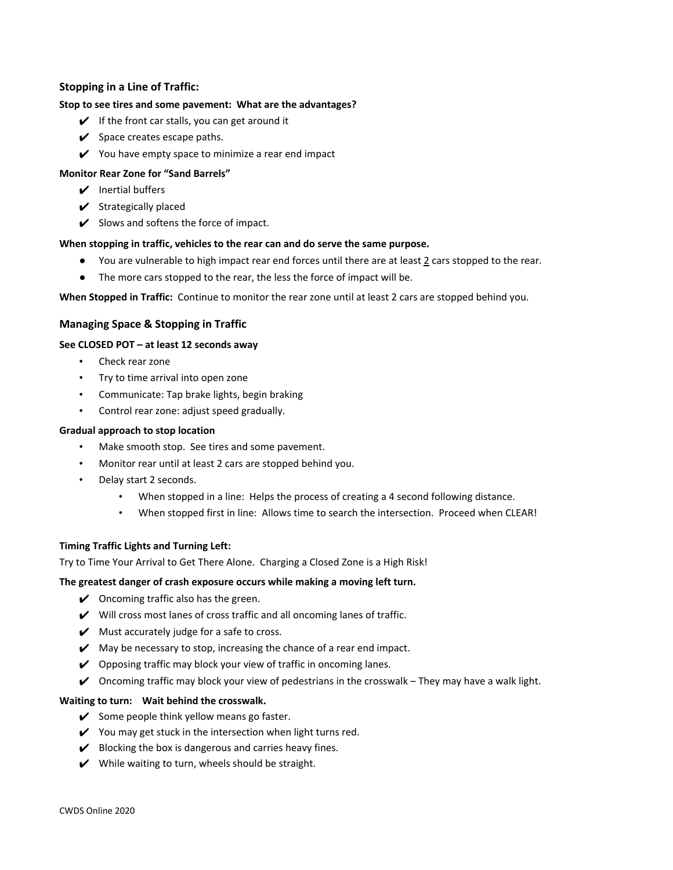# **Stopping in a Line of Traffic:**

## **Stop to see tires and some pavement: What are the advantages?**

- $\mathcal V$  If the front car stalls, you can get around it
- $\checkmark$  Space creates escape paths.
- $\mathcal V$  You have empty space to minimize a rear end impact

#### **Monitor Rear Zone for "Sand Barrels"**

- $\triangleright$  Inertial buffers
- $\checkmark$  Strategically placed
- $\mathcal V$  Slows and softens the force of impact.

#### **When stopping in traffic, vehicles to the rear can and do serve the same purpose.**

- You are vulnerable to high impact rear end forces until there are at least 2 cars stopped to the rear.
- The more cars stopped to the rear, the less the force of impact will be.

**When Stopped in Traffic:** Continue to monitor the rear zone until at least 2 cars are stopped behind you.

## **Managing Space & Stopping in Traffic**

#### **See CLOSED POT – at least 12 seconds away**

- Check rear zone
- Try to time arrival into open zone
- Communicate: Tap brake lights, begin braking
- Control rear zone: adjust speed gradually.

#### **Gradual approach to stop location**

- Make smooth stop. See tires and some pavement.
- Monitor rear until at least 2 cars are stopped behind you.
- Delay start 2 seconds.
	- When stopped in a line: Helps the process of creating a 4 second following distance.
	- When stopped first in line: Allows time to search the intersection. Proceed when CLEAR!

#### **Timing Traffic Lights and Turning Left:**

Try to Time Your Arrival to Get There Alone. Charging a Closed Zone is a High Risk!

#### **The greatest danger of crash exposure occurs while making a moving left turn.**

- $\vee$  Oncoming traffic also has the green.
- $\mathcal V$  Will cross most lanes of cross traffic and all oncoming lanes of traffic.
- $\mathcal V$  Must accurately judge for a safe to cross.
- $\mathcal V$  May be necessary to stop, increasing the chance of a rear end impact.
- $\vee$  Opposing traffic may block your view of traffic in oncoming lanes.
- $\checkmark$  Oncoming traffic may block your view of pedestrians in the crosswalk They may have a walk light.

#### **Waiting to turn: Wait behind the crosswalk.**

- $\checkmark$  Some people think yellow means go faster.
- $\checkmark$  You may get stuck in the intersection when light turns red.
- $\mathcal V$  Blocking the box is dangerous and carries heavy fines.
- $\mathcal V$  While waiting to turn, wheels should be straight.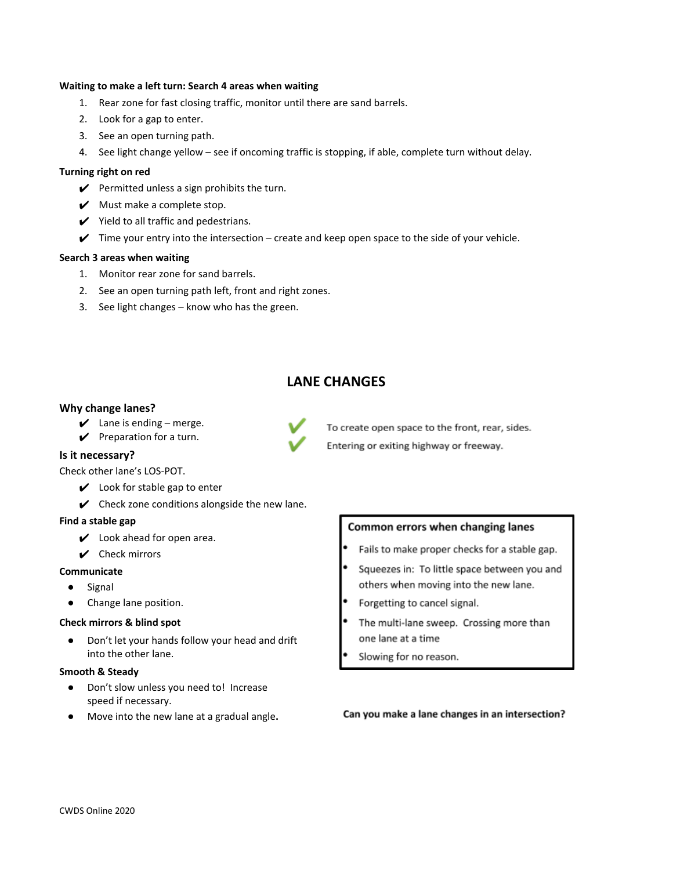#### **Waiting to make a left turn: Search 4 areas when waiting**

- 1. Rear zone for fast closing traffic, monitor until there are sand barrels.
- 2. Look for a gap to enter.
- 3. See an open turning path.
- 4. See light change yellow see if oncoming traffic is stopping, if able, complete turn without delay.

#### **Turning right on red**

- $\mathcal V$  Permitted unless a sign prohibits the turn.
- $\mathcal V$  Must make a complete stop.
- $\checkmark$  Yield to all traffic and pedestrians.
- $\checkmark$  Time your entry into the intersection create and keep open space to the side of your vehicle.

#### **Search 3 areas when waiting**

- 1. Monitor rear zone for sand barrels.
- 2. See an open turning path left, front and right zones.
- 3. See light changes know who has the green.

# **LANE CHANGES**

#### **Why change lanes?**

- $\angle$  Lane is ending merge.
- $\mathcal V$  Preparation for a turn.

#### **Is it necessary?**

Check other lane's LOS-POT.

- $\vee$  Look for stable gap to enter
- $\mathcal V$  Check zone conditions alongside the new lane.

#### **Find a stable gap**

- $\boldsymbol{\nu}$  Look ahead for open area.
- $\vee$  Check mirrors

#### **Communicate**

- Signal
- Change lane position.

#### **Check mirrors & blind spot**

Don't let your hands follow your head and drift into the other lane.

#### **Smooth & Steady**

- Don't slow unless you need to! Increase speed if necessary.
- Move into the new lane at a gradual angle**.**

# Common errors when changing lanes

- Fails to make proper checks for a stable gap.
- Squeezes in: To little space between you and others when moving into the new lane.
- Forgetting to cancel signal.
- The multi-lane sweep. Crossing more than one lane at a time
- Slowing for no reason.

#### Can you make a lane changes in an intersection?

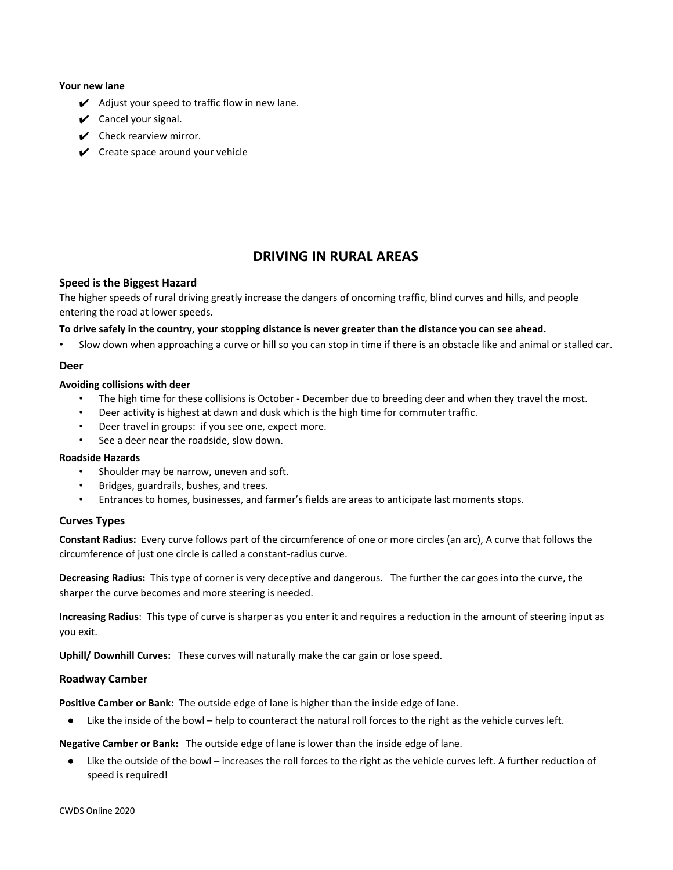#### **Your new lane**

- $\boldsymbol{\checkmark}$  Adjust your speed to traffic flow in new lane.
- $\checkmark$  Cancel your signal.
- $\vee$  Check rearview mirror.
- $\checkmark$  Create space around your vehicle

# **DRIVING IN RURAL AREAS**

#### **Speed is the Biggest Hazard**

The higher speeds of rural driving greatly increase the dangers of oncoming traffic, blind curves and hills, and people entering the road at lower speeds.

#### To drive safely in the country, your stopping distance is never greater than the distance you can see ahead.

• Slow down when approaching a curve or hill so you can stop in time if there is an obstacle like and animal or stalled car.

#### **Deer**

#### **Avoiding collisions with deer**

- The high time for these collisions is October December due to breeding deer and when they travel the most.
- Deer activity is highest at dawn and dusk which is the high time for commuter traffic.
- Deer travel in groups: if you see one, expect more.
- See a deer near the roadside, slow down.

#### **Roadside Hazards**

- Shoulder may be narrow, uneven and soft.
- Bridges, guardrails, bushes, and trees.
- Entrances to homes, businesses, and farmer's fields are areas to anticipate last moments stops.

#### **Curves Types**

**Constant Radius:** Every curve follows part of the circumference of one or more circles (an arc), A curve that follows the circumference of just one circle is called a constant-radius curve.

**Decreasing Radius:** This type of corner is very deceptive and dangerous. The further the car goes into the curve, the sharper the curve becomes and more steering is needed.

**Increasing Radius**: This type of curve is sharper as you enter it and requires a reduction in the amount of steering input as you exit.

**Uphill/ Downhill Curves:** These curves will naturally make the car gain or lose speed.

#### **Roadway Camber**

**Positive Camber or Bank:** The outside edge of lane is higher than the inside edge of lane.

● Like the inside of the bowl – help to counteract the natural roll forces to the right as the vehicle curves left.

**Negative Camber or Bank:** The outside edge of lane is lower than the inside edge of lane.

● Like the outside of the bowl – increases the roll forces to the right as the vehicle curves left. A further reduction of speed is required!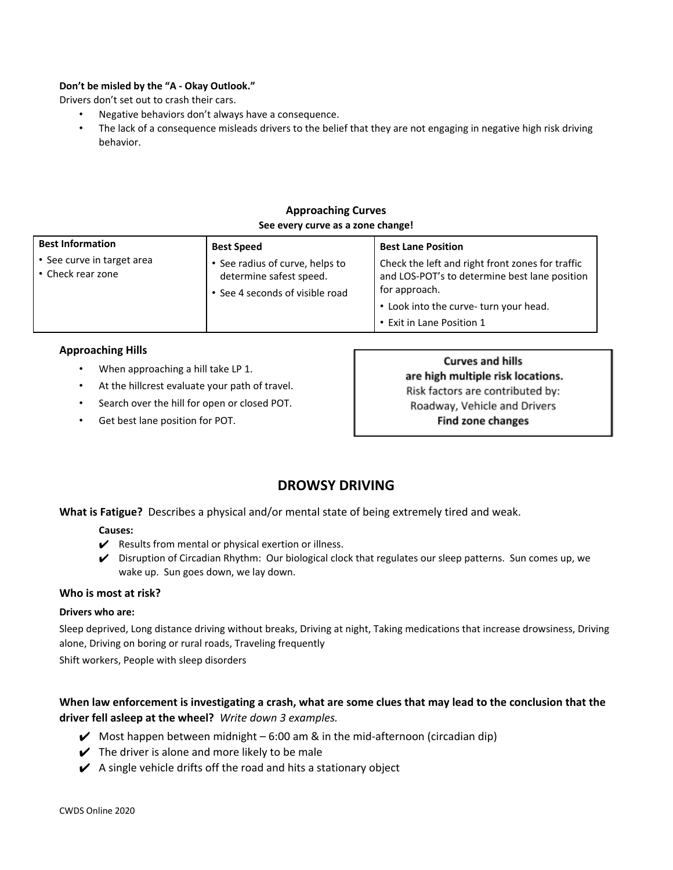# **Don't be misled by the "A - Okay Outlook."**

Drivers don't set out to crash their cars.

- Negative behaviors don't always have a consequence.
- The lack of a consequence misleads drivers to the belief that they are not engaging in negative high risk driving behavior.

# **Approaching Curves See every curve as a zone change!**

| <b>Best Information</b>                         | <b>Best Speed</b>                                                                             | <b>Best Lane Position</b>                                                                                                                                                                 |
|-------------------------------------------------|-----------------------------------------------------------------------------------------------|-------------------------------------------------------------------------------------------------------------------------------------------------------------------------------------------|
| • See curve in target area<br>• Check rear zone | • See radius of curve, helps to<br>determine safest speed.<br>• See 4 seconds of visible road | Check the left and right front zones for traffic<br>and LOS-POT's to determine best lane position<br>for approach.<br>• Look into the curve- turn your head.<br>• Exit in Lane Position 1 |

# **Approaching Hills**

- When approaching a hill take LP 1.
- At the hillcrest evaluate your path of travel.
- Search over the hill for open or closed POT.
- Get best lane position for POT.

**Curves and hills** are high multiple risk locations. Risk factors are contributed by: Roadway, Vehicle and Drivers **Find zone changes** 

# **DROWSY DRIVING**

**What is Fatigue?** Describes a physical and/or mental state of being extremely tired and weak.

# **Causes:**

- $\swarrow$  Results from mental or physical exertion or illness.
- ✔ Disruption of Circadian Rhythm: Our biological clock that regulates our sleep patterns. Sun comes up, we wake up. Sun goes down, we lay down.

# **Who is most at risk?**

# **Drivers who are:**

Sleep deprived, Long distance driving without breaks, Driving at night, Taking medications that increase drowsiness, Driving alone, Driving on boring or rural roads, Traveling frequently

Shift workers, People with sleep disorders

# When law enforcement is investigating a crash, what are some clues that may lead to the conclusion that the **driver fell asleep at the wheel?** *Write down 3 examples.*

- $\blacktriangleright$  Most happen between midnight 6:00 am & in the mid-afternoon (circadian dip)
- $\checkmark$  The driver is alone and more likely to be male
- $\swarrow$  A single vehicle drifts off the road and hits a stationary object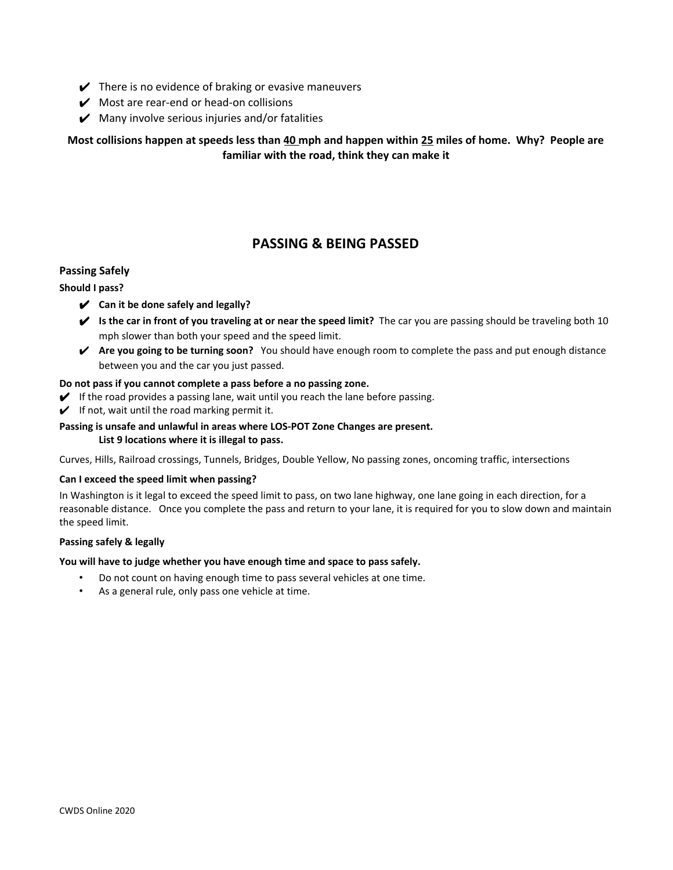- $\blacktriangleright$  There is no evidence of braking or evasive maneuvers
- $\mathcal V$  Most are rear-end or head-on collisions
- $\boldsymbol{\checkmark}$  Many involve serious injuries and/or fatalities

Most collisions happen at speeds less than 40 mph and happen within 25 miles of home. Why? People are **familiar with the road, think they can make it**

# **PASSING & BEING PASSED**

# **Passing Safely**

# **Should I pass?**

- ✔ **Can it be done safely and legally?**
- ✔ **Is the car in front of you traveling at or near the speed limit?** The car you are passing should be traveling both 10 mph slower than both your speed and the speed limit.
- ✔ **Are you going to be turning soon?** You should have enough room to complete the pass and put enough distance between you and the car you just passed.

#### **Do not pass if you cannot complete a pass before a no passing zone.**

- $\blacktriangleright$  If the road provides a passing lane, wait until you reach the lane before passing.
- $\checkmark$  If not, wait until the road marking permit it.

# **Passing is unsafe and unlawful in areas where LOS-POT Zone Changes are present. List 9 locations where it is illegal to pass.**

Curves, Hills, Railroad crossings, Tunnels, Bridges, Double Yellow, No passing zones, oncoming traffic, intersections

#### **Can I exceed the speed limit when passing?**

In Washington is it legal to exceed the speed limit to pass, on two lane highway, one lane going in each direction, for a reasonable distance. Once you complete the pass and return to your lane, it is required for you to slow down and maintain the speed limit.

#### **Passing safely & legally**

# **You will have to judge whether you have enough time and space to pass safely.**

- Do not count on having enough time to pass several vehicles at one time.
- As a general rule, only pass one vehicle at time.